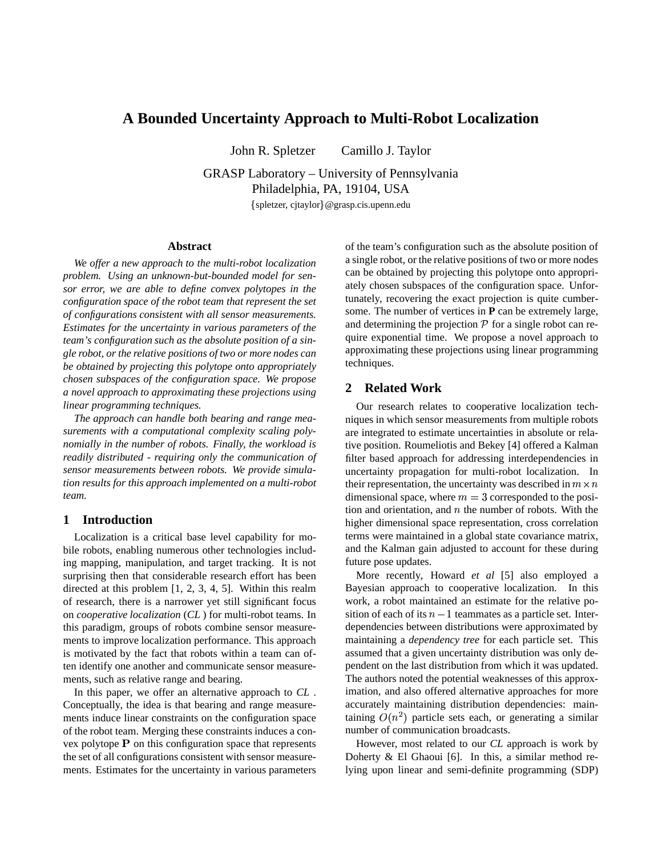# **A Bounded Uncertainty Approach to Multi-Robot Localization**

John R. Spletzer Camillo J. Taylor

GRASP Laboratory – University of Pennsylvania Philadelphia, PA, 19104, USA

spletzer, cjtaylor @grasp.cis.upenn.edu

#### **Abstract**

*We offer a new approach to the multi-robot localization problem. Using an unknown-but-bounded model for sensor error, we are able to define convex polytopes in the configuration space of the robot team that represent the set of configurations consistent with all sensor measurements. Estimates for the uncertainty in various parameters of the team's configuration such as the absolute position of a single robot, or the relative positions of two or more nodes can be obtained by projecting this polytope onto appropriately chosen subspaces of the configuration space. We propose a novel approach to approximating these projections using linear programming techniques.*

*The approach can handle both bearing and range measurements with a computational complexity scaling polynomially in the number of robots. Finally, the workload is readily distributed - requiring only the communication of sensor measurements between robots. We provide simulation results for this approach implemented on a multi-robot team.*

# **1 Introduction**

Localization is a critical base level capability for mobile robots, enabling numerous other technologies including mapping, manipulation, and target tracking. It is not surprising then that considerable research effort has been directed at this problem [1, 2, 3, 4, 5]. Within this realm of research, there is a narrower yet still significant focus on *cooperative localization* (*CL* ) for multi-robot teams. In this paradigm, groups of robots combine sensor measurements to improve localization performance. This approach is motivated by the fact that robots within a team can often identify one another and communicate sensor measurements, such as relative range and bearing.

In this paper, we offer an alternative approach to *CL* . Conceptually, the idea is that bearing and range measurements induce linear constraints on the configuration space of the robot team. Merging these constraints induces a convex polytope  $P$  on this configuration space that represents the set of all configurations consistent with sensor measurements. Estimates for the uncertainty in various parameters of the team's configuration such as the absolute position of a single robot, or the relative positions of two or more nodes can be obtained by projecting this polytope onto appropriately chosen subspaces of the configuration space. Unfortunately, recovering the exact projection is quite cumbersome. The number of vertices in **P** can be extremely large, and determining the projection  $P$  for a single robot can require exponential time. We propose a novel approach to approximating these projections using linear programming techniques.

#### **2 Related Work**

Our research relates to cooperative localization techniques in which sensor measurements from multiple robots are integrated to estimate uncertainties in absolute or relative position. Roumeliotis and Bekey [4] offered a Kalman filter based approach for addressing interdependencies in uncertainty propagation for multi-robot localization. In their representation, the uncertainty was described in  $m \times n$ dimensional space, where  $m = 3$  corresponded to the position and orientation, and  $n$  the number of robots. With the higher dimensional space representation, cross correlation terms were maintained in a global state covariance matrix, and the Kalman gain adjusted to account for these during future pose updates.

More recently, Howard *et al* [5] also employed a Bayesian approach to cooperative localization. In this work, a robot maintained an estimate for the relative position of each of its  $n-1$  teammates as a particle set. Interdependencies between distributions were approximated by maintaining a *dependency tree* for each particle set. This assumed that a given uncertainty distribution was only dependent on the last distribution from which it was updated. The authors noted the potential weaknesses of this approximation, and also offered alternative approaches for more accurately maintaining distribution dependencies: maintaining  $O(n^2)$  particle sets each, or generating a similar number of communication broadcasts.

However, most related to our *CL* approach is work by Doherty & El Ghaoui [6]. In this, a similar method relying upon linear and semi-definite programming (SDP)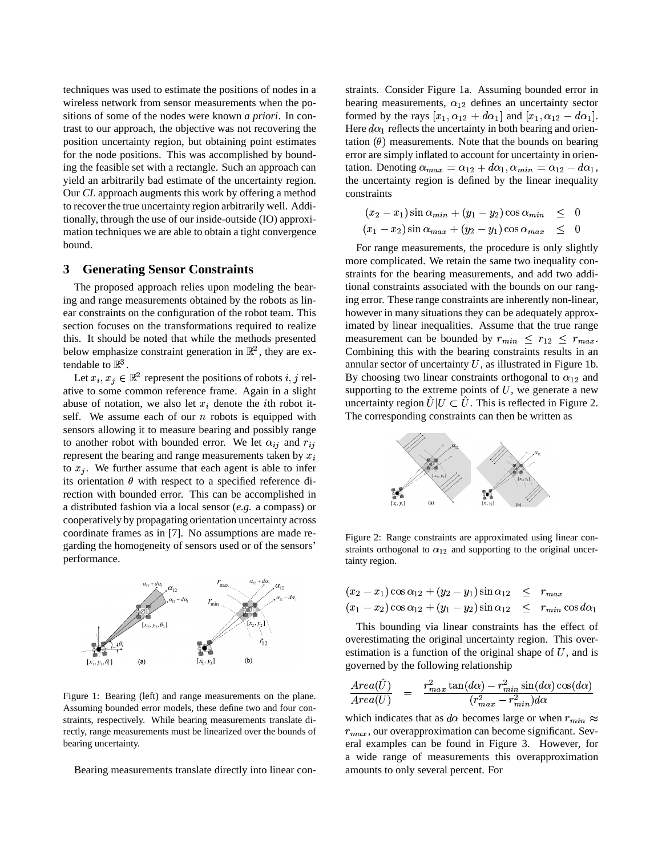techniques was used to estimate the positions of nodes in a wireless network from sensor measurements when the positions of some of the nodes were known *a priori*. In contrast to our approach, the objective was not recovering the position uncertainty region, but obtaining point estimates for the node positions. This was accomplished by bounding the feasible set with a rectangle. Such an approach can yield an arbitrarily bad estimate of the uncertainty region. Our *CL* approach augments this work by offering a method to recover the true uncertainty region arbitrarily well. Additionally, through the use of our inside-outside (IO) approximation techniques we are able to obtain a tight convergence bound.

# **3 Generating Sensor Constraints**

The proposed approach relies upon modeling the bearing and range measurements obtained by the robots as linear constraints on the configuration of the robot team. This section focuses on the transformations required to realize this. It should be noted that while the methods presented below emphasize constraint generation in  $\mathbb{R}^2$ , they are extendable to  $\mathbb{R}^3$ .

Let  $x_i, x_j \in \mathbb{R}^2$  represent the positions of robots  $i, j$  relative to some common reference frame. Again in a slight abuse of notation, we also let  $x_i$  denote the *i*th robot itself. We assume each of our  $n$  robots is equipped with sensors allowing it to measure bearing and possibly range to another robot with bounded error. We let  $\alpha_{ij}$  and  $r_{ij}$ represent the bearing and range measurements taken by  $x_i$ to  $x_j$ . We further assume that each agent is able to infer its orientation  $\theta$  with respect to a specified reference direction with bounded error. This can be accomplished in a distributed fashion via a local sensor (*e.g.* a compass) or cooperatively by propagating orientation uncertainty across coordinate frames as in [7]. No assumptions are made regarding the homogeneity of sensors used or of the sensors' performance.



Figure 1: Bearing (left) and range measurements on the plane. Assuming bounded error models, these define two and four constraints, respectively. While bearing measurements translate directly, range measurements must be linearized over the bounds of bearing uncertainty.

Bearing measurements translate directly into linear con-

straints. Consider Figure 1a. Assuming bounded error in bearing measurements,  $\alpha_{12}$  defines an uncertainty sector formed by the rays  $[x_1, \alpha_{12} + d\alpha_1]$  and  $[x_1, \alpha_{12} - d\alpha_1]$ . Here  $d\alpha_1$  reflects the uncertainty in both bearing and orientation  $(\theta)$  measurements. Note that the bounds on bearing error are simply inflated to account for uncertainty in orientation. Denoting  $\alpha_{max} = \alpha_{12} + d\alpha_1, \alpha_{min} = \alpha_{12} - d\alpha_1,$ the uncertainty region is defined by the linear inequality constraints

$$
(x_2 - x_1) \sin \alpha_{min} + (y_1 - y_2) \cos \alpha_{min} \leq 0
$$
  

$$
(x_1 - x_2) \sin \alpha_{max} + (y_2 - y_1) \cos \alpha_{max} \leq 0
$$

For range measurements, the procedure is only slightly more complicated. We retain the same two inequality constraints for the bearing measurements, and add two additional constraints associated with the bounds on our ranging error. These range constraints are inherently non-linear, however in many situations they can be adequately approximated by linear inequalities. Assume that the true range measurement can be bounded by  $r_{min} \leq r_{12} \leq r_{max}$ . Combining this with the bearing constraints results in an annular sector of uncertainty  $U$ , as illustrated in Figure 1b. By choosing two linear constraints orthogonal to  $\alpha_{12}$  and supporting to the extreme points of  $U$ , we generate a new uncertainty region  $\hat{U}|U \subset \hat{U}$ . This is reflected in Figure 2. The corresponding constraints can then be written as



Figure 2: Range constraints are approximated using linear constraints orthogonal to  $\alpha_{12}$  and supporting to the original uncertainty region.

$$
(x_2 - x_1) \cos \alpha_{12} + (y_2 - y_1) \sin \alpha_{12} \leq r_{max}
$$
  
\n $(x_1 - x_2) \cos \alpha_{12} + (y_1 - y_2) \sin \alpha_{12} \leq r_{min} \cos \alpha_{12}$ 

This bounding via linear constraints has the effect of overestimating the original uncertainty region. This overestimation is a function of the original shape of  $U$ , and is governed by the following relationship

$$
\frac{Area(\hat{U})}{Area(U)} = \frac{r_{max}^2 \tan(d\alpha) - r_{min}^2 \sin(d\alpha) \cos(d\alpha)}{(r_{max}^2 - r_{min}^2)d\alpha}
$$

which indicates that as  $d\alpha$  becomes large or when  $r_{min} \approx$  $r_{max}$ , our overapproximation can become significant. Several examples can be found in Figure 3. However, for a wide range of measurements this overapproximation amounts to only several percent. For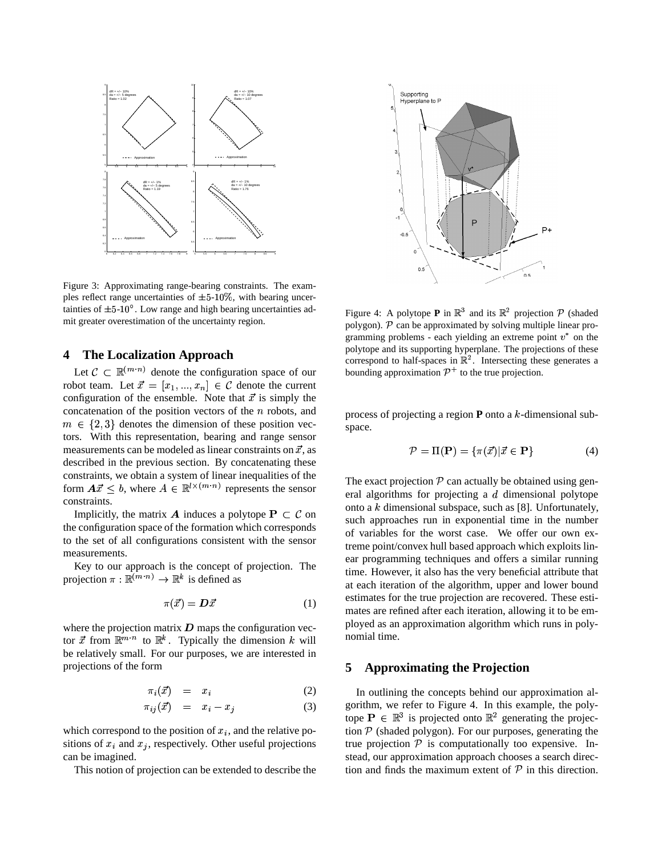

Figure 3: Approximating range-bearing constraints. The examples reflect range uncertainties of  $\pm 5{\text -}10\%$ , with bearing uncertainties of  $\pm 5{\cdot}10^{\circ}$ . Low range and high bearing uncertainties admit greater overestimation of the uncertainty region.

# **4 The Localization Approach**

Let  $\mathcal{C} \subset \mathbb{R}^{(m \cdot n)}$  denote the configuration space of our robot team. Let  $\vec{x} = [x_1, ..., x_n] \in \mathcal{C}$  denote the current configuration of the ensemble. Note that  $\vec{x}$  is simply the concatenation of the position vectors of the  $n$  robots, and  $m \in \{2,3\}$  denotes the dimension of these position vectors. With this representation, bearing and range sensor measurements can be modeled as linear constraints on  $\vec{x}$ , as described in the previous section. By concatenating these constraints, we obtain a system of linear inequalities of the form  $A\vec{x} \leq b$ , where  $A \in \mathbb{R}^{l \times (m \cdot n)}$  represents the sensor constraints.

Implicitly, the matrix **A** induces a polytope  $P \subset C$  on the configuration space of the formation which corresponds to the set of all configurations consistent with the sensor measurements.

Key to our approach is the concept of projection. The projection  $\pi : \mathbb{R}^{(m,n)} \to \mathbb{R}^k$  is defined as

$$
\pi(\vec{x}) = \mathbf{D}\vec{x} \tag{1}
$$

where the projection matrix  $\boldsymbol{D}$  maps the configuration vector  $\vec{x}$  from  $\mathbb{R}^{m \cdot n}$  to  $\mathbb{R}^k$ . Typically the dimension k will be relatively small. For our purposes, we are interested in projections of the form

$$
\pi_i(\vec{x}) = x_i \tag{2}
$$

$$
\pi_{ij}(\vec{x}) = x_i - x_j \tag{3}
$$

which correspond to the position of  $x_i$ , and the relative positions of  $x_i$  and  $x_j$ , respectively. Other useful projections can be imagined.

This notion of projection can be extended to describe the



Figure 4: A polytope **P** in  $\mathbb{R}^3$  and its  $\mathbb{R}^2$  projection  $\mathcal{P}$  (shaded polygon).  $\mathcal P$  can be approximated by solving multiple linear programming problems - each yielding an extreme point  $v^*$  on the polytope and its supporting hyperplane. The projections of these correspond to half-spaces in  $\mathbb{R}^2$ . Intersecting these generates a bounding approximation  $\mathcal{P}^+$  to the true projection.

process of projecting a region  $P$  onto a  $k$ -dimensional subspace.

$$
\mathcal{P} = \Pi(\mathbf{P}) = \{\pi(\vec{x}) | \vec{x} \in \mathbf{P}\}\tag{4}
$$

The exact projection  $P$  can actually be obtained using general algorithms for projecting a  $d$  dimensional polytope onto a  $k$  dimensional subspace, such as [8]. Unfortunately, such approaches run in exponential time in the number of variables for the worst case. We offer our own extreme point/convex hull based approach which exploits linear programming techniques and offers a similar running time. However, it also has the very beneficial attribute that at each iteration of the algorithm, upper and lower bound estimates for the true projection are recovered. These estimates are refined after each iteration, allowing it to be employed as an approximation algorithm which runs in polynomial time.

# **5 Approximating the Projection**

In outlining the concepts behind our approximation algorithm, we refer to Figure 4. In this example, the polytope  $P \in \mathbb{R}^3$  is projected onto  $\mathbb{R}^2$  generating the projection  $P$  (shaded polygon). For our purposes, generating the true projection  $P$  is computationally too expensive. Instead, our approximation approach chooses a search direction and finds the maximum extent of  $P$  in this direction.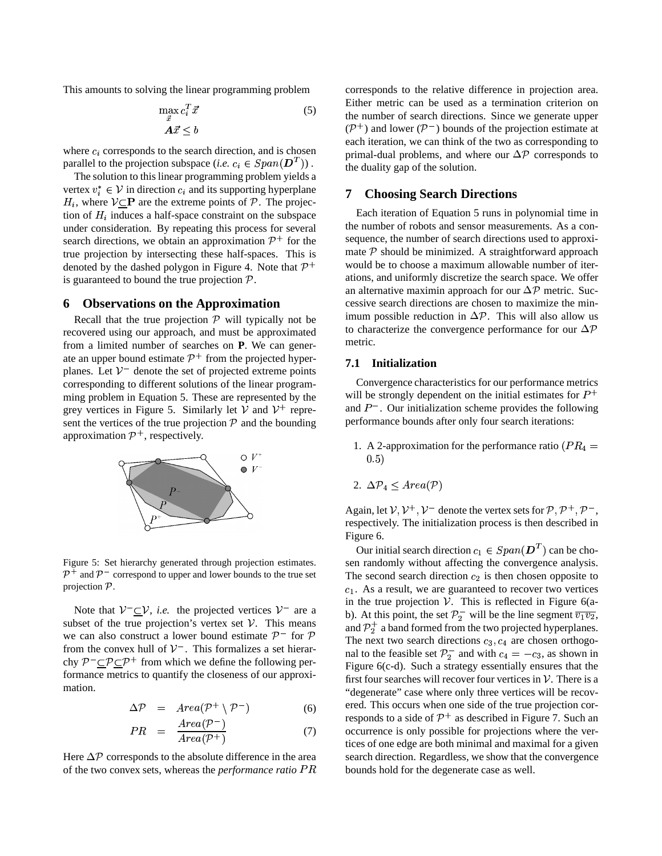This amounts to solving the linear programming problem

$$
\max_{x} c_i^T \vec{x} \tag{5}
$$
\n
$$
\mathbf{A}\vec{x} \le b
$$

where  $c_i$  corresponds to the search direction, and is chosen parallel to the projection subspace (*i.e.*  $c_i \in Span(\mathbf{D}^T)$ ).  $\binom{T}{1}$ .  $\frac{P}{H}$ 

The solution to this linear programming problem yields a vertex  $v_i^* \in V$  in direction  $c_i$  and its supporting hyperplane  $H_i$ , where  $V \subseteq \mathbf{P}$  are the extreme points of  $P$ . The projection of  $H_i$  induces a half-space constraint on the subspace under consideration. By repeating this process for several search directions, we obtain an approximation  $\mathcal{P}^+$  for the true projection by intersecting these half-spaces. This is denoted by the dashed polygon in Figure 4. Note that  $\mathcal{P}^+$ is guaranteed to bound the true projection  $P$ .

#### **6 Observations on the Approximation**

Recall that the true projection  $P$  will typically not be recovered using our approach, and must be approximated from a limited number of searches on **P**. We can generate an upper bound estimate  $\mathcal{P}^+$  from the projected hyperplanes. Let  $V^{\dagger}$  denote the set of projected extreme points corresponding to different solutions of the linear programming problem in Equation 5. These are represented by the grey vertices in Figure 5. Similarly let  $\mathcal V$  and  $\mathcal V^+$  represent the vertices of the true projection  $P$  and the bounding approximation  $\mathcal{P}^+$ , respectively.



Figure 5: Set hierarchy generated through projection estimates.  $\mathcal{P}^+$  and  $\mathcal{P}^-$  correspond to upper and lower bounds to the true set projection  $P$ .

Note that  $V^-\_V$ , *i.e.* the projected vertices  $V^-$  are a subset of the true projection's vertex set  $\mathcal V$ . This means we can also construct a lower bound estimate  $\mathcal{P}^-$  for  $\mathcal P$ from the convex hull of  $V^-$ . This formalizes a set hierarchy  $P^- \subset \mathcal{P} \subset \mathcal{P}^+$  from which we define the following performance metrics to quantify the closeness of our approximation.

$$
\Delta \mathcal{P} = Area(\mathcal{P}^+ \setminus \mathcal{P}^-) \tag{6}
$$

$$
PR = \frac{Area(\mathcal{P}^-)}{Area(\mathcal{P}^+)} \tag{7}
$$

Here  $\Delta \mathcal{P}$  corresponds to the absolute difference in the area of the two convex sets, whereas the *performance ratio*  $PR$  corresponds to the relative difference in projection area. Either metric can be used as a termination criterion on the number of search directions. Since we generate upper  $(\mathcal{P}^+)$  and lower  $(\mathcal{P}^-)$  bounds of the projection estimate at each iteration, we can think of the two as corresponding to each iteration, we can think of the two as corresponding to primal-dual problems, and where our  $\Delta P$  corresponds to the duality gap of the solution.

# **7 Choosing Search Directions**

Each iteration of Equation 5 runs in polynomial time in the number of robots and sensor measurements. As a consequence, the number of search directions used to approximate  $P$  should be minimized. A straightforward approach would be to choose a maximum allowable number of iterations, and uniformly discretize the search space. We offer ations, and uniformly discretize the search space. We offer<br>an alternative maximin approach for our  $\Delta P$  metric. Successive search directions are chosen to maximize the mincessive search directions are chosen to maximize the min-<br>imum possible reduction in  $\Delta P$ . This will also allow us imum possible reduction in  $\Delta P$ . This will also allow us<br>to characterize the convergence performance for our  $\Delta P$ metric.

#### **7.1 Initialization**

Convergence characteristics for our performance metrics will be strongly dependent on the initial estimates for  $P^+$ and  $P^-$ . Our initialization scheme provides the following performance bounds after only four search iterations:

1. A 2-approximation for the performance ratio ( $PR<sub>4</sub>$  =  $(0.5)$ 

2. 
$$
\Delta \mathcal{P}_4 \leq Area(\mathcal{P})
$$

Again, let  $V, V^+, V^-$  denote the vertex sets for  $P, P^+, P^-$ , respectively. The initialization process is then described in Figure 6.

Our initial search direction  $c_1 \in Span(\mathbf{D}^T)$  can be chosen randomly without affecting the convergence analysis.  $\binom{T}{k}$  can be cho-The second search direction  $c_2$  is then chosen opposite to 1. As a result, we are guaranteed to recover two vertices in the true projection  $V$ . This is reflected in Figure 6(ab). At this point, the set  $\mathcal{P}_2^-$  will be the line segment  $\overline{v_1v_2}$ , and  $\mathcal{P}_2^+$  a band formed from the two projected hyperplanes. The next two search directions  $c_3$ ,  $c_4$  are chosen orthogonal to the feasible set  $\mathcal{P}_2^-$  and with  $c_4 = -c_3$ , as shown in Figure 6(c-d). Such a strategy essentially ensures that the first four searches will recover four vertices in  $\mathcal V$ . There is a "degenerate" case where only three vertices will be recovered. This occurs when one side of the true projection corresponds to a side of  $\mathcal{P}^+$  as described in Figure 7. Such an occurrence is only possible for projections where the vertices of one edge are both minimal and maximal for a given search direction. Regardless, we show that the convergence bounds hold for the degenerate case as well.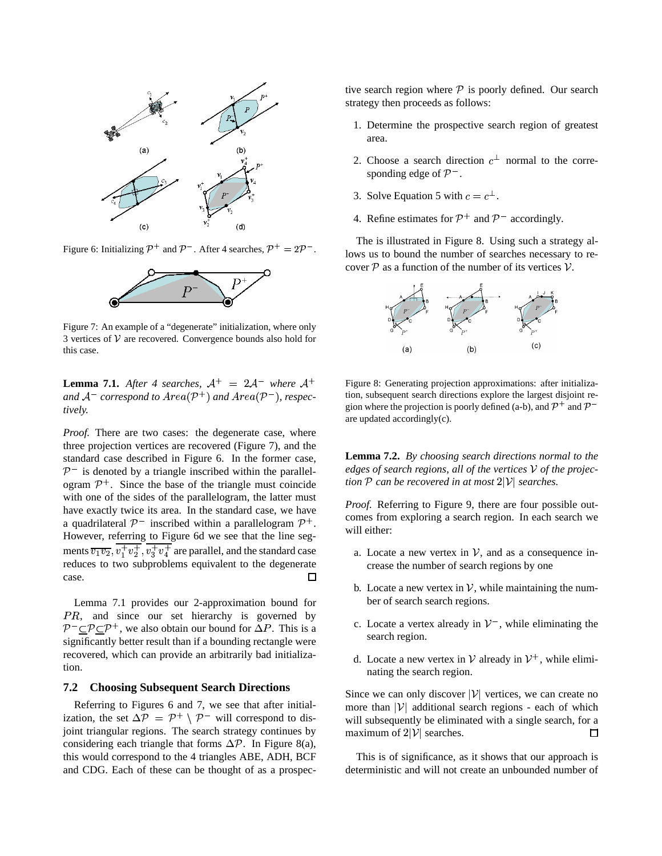

Figure 6: Initializing  $\mathcal{P}^+$  and  $\mathcal{P}^-$ . After 4 searches,  $\mathcal{P}^+ = 2\mathcal{P}^-$ .



Figure 7: An example of a "degenerate" initialization, where only 3 vertices of  $V$  are recovered. Convergence bounds also hold for this case.

**Lemma 7.1.** After 4 searches,  $A^+=2A^-$  where  $A^+$ and  $\mathcal{A}^-$  correspond to  $Area(\mathcal{P}^+)$  and  $Area(\mathcal{P}^-)$ , respec*tively.*

*Proof.* There are two cases: the degenerate case, where three projection vertices are recovered (Figure 7), and the standard case described in Figure 6. In the former case,  $\mathcal{P}^-$  is denoted by a triangle inscribed within the parallelogram  $\mathcal{P}^+$ . Since the base of the triangle must coincide with one of the sides of the parallelogram, the latter must have exactly twice its area. In the standard case, we have a quadrilateral  $\mathcal{P}^-$  inscribed within a parallelogram  $\mathcal{P}^+$ . However, referring to Figure 6d we see that the line segments  $\overline{v_1v_2}$ ,  $v_1^+v_2^+$ ,  $v_3^+v_4^+$  are parallel, and the standard case  $\frac{1}{2}, \frac{1}{2}, \frac{1}{2}, \frac{1}{3}, \frac{1}{3}, \frac{1}{4}$  are paramet, and the standard case case. П

Lemma 7.1 provides our 2-approximation bound for PR, and since our set hierarchy is governed by PR, and since our set hierarchy is governed by  $P^{-} \subseteq P \subseteq P^{+}$ , we also obtain our bound for  $\Delta P$ . This is a P. This is a significantly better result than if a bounding rectangle were recovered, which can provide an arbitrarily bad initialization.

#### **7.2 Choosing Subsequent Search Directions**

Referring to Figures 6 and 7, we see that after initial-Referring to Figures 6 and 7, we see that after initial-<br>ization, the set  $\Delta P = P^+ \setminus P^-$  will correspond to disjoint triangular regions. The search strategy continues by joint triangular regions. The search strategy continues by considering each triangle that forms  $\Delta \mathcal{P}$ . In Figure 8(a), this would correspond to the 4 triangles ABE, ADH, BCF and CDG. Each of these can be thought of as a prospective search region where  $P$  is poorly defined. Our search strategy then proceeds as follows:

- 1. Determine the prospective search region of greatest area.
- 2. Choose a search direction  $c^{\perp}$  normal to the corresponding edge of  $\mathcal{P}^-$ .
- 3. Solve Equation 5 with  $c = c^{\perp}$ .
- 4. Refine estimates for  $\mathcal{P}^+$  and  $\mathcal{P}^-$  accordingly.

The is illustrated in Figure 8. Using such a strategy allows us to bound the number of searches necessary to recover  $P$  as a function of the number of its vertices  $V$ .



Figure 8: Generating projection approximations: after initialization, subsequent search directions explore the largest disjoint region where the projection is poorly defined (a-b), and  $\mathcal{P}^+$  and  $\mathcal{P}^$ are updated accordingly(c).

**Lemma 7.2.** *By choosing search directions normal to the*  $edges$  *of search regions, all of the vertices*  $V$  *of the projection*  $P$  *can be recovered in at most*  $2|V|$  *searches.* 

*Proof.* Referring to Figure 9, there are four possible outcomes from exploring a search region. In each search we will either:

- a. Locate a new vertex in  $\mathcal{V}$ , and as a consequence increase the number of search regions by one
- b. Locate a new vertex in  $\mathcal{V}$ , while maintaining the number of search search regions.
- c. Locate a vertex already in  $V^-$ , while eliminating the search region.
- d. Locate a new vertex in  $\mathcal V$  already in  $\mathcal V^+$ , while eliminating the search region.

Since we can only discover  $|V|$  vertices, we can create no more than  $|V|$  additional search regions - each of which will subsequently be eliminated with a single search, for a maximum of  $2|V|$  searches. □

This is of significance, as it shows that our approach is deterministic and will not create an unbounded number of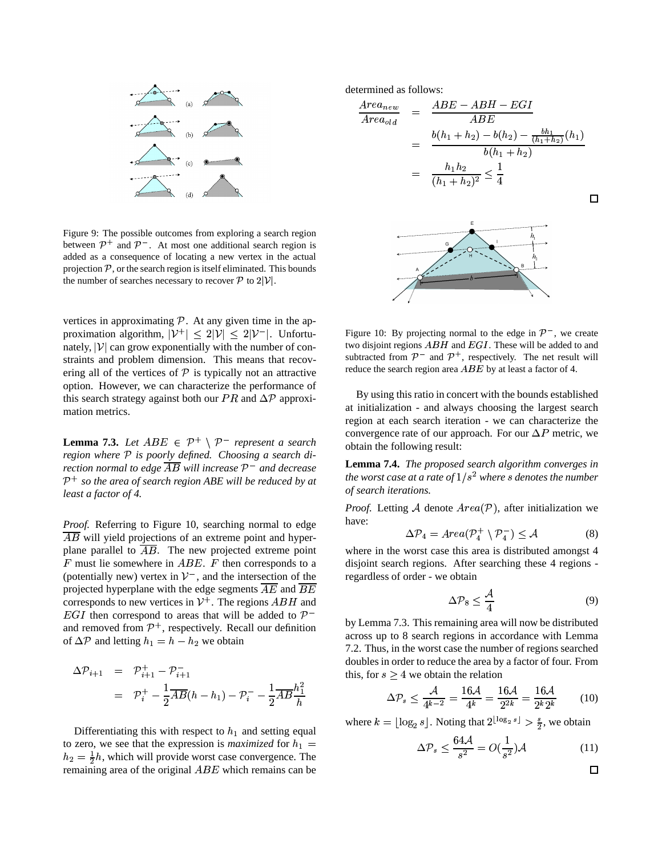

Figure 9: The possible outcomes from exploring a search region between  $\mathcal{P}^+$  and  $\mathcal{P}^-$ . At most one additional search region is added as a consequence of locating a new vertex in the actual projection  $P$ , or the search region is itself eliminated. This bounds the number of searches necessary to recover  $P$  to  $2|\mathcal{V}|$ .

vertices in approximating  $P$ . At any given time in the approximation algorithm,  $|{\cal V}^+| \leq 2|{\cal V}| \leq 2|{\cal V}^-|$ . Unfortunately,  $|V|$  can grow exponentially with the number of constraints and problem dimension. This means that recovering all of the vertices of  $P$  is typically not an attractive option. However, we can characterize the performance of option. However, we can characterize the performance of this search strategy against both our  $PR$  and  $\Delta P$  approximation metrics.

**Lemma 7.3.** *Let*  $ABE \in \mathcal{P}^+ \setminus \mathcal{P}^-$  *represent a search region where is poorly defined. Choosing a search direction normal to edge AB will increase*  $P^-$  *and decrease*  $\mathcal{P}^+$  *so the area of search region ABE will be reduced by at least a factor of 4.*

*Proof.* Referring to Figure 10, searching normal to edge  $\overline{AB}$  will yield projections of an extreme point and hyperplane parallel to  $AB$ . The new projected extreme point  $F$  must lie somewhere in  $ABE$ .  $F$  then corresponds to a (potentially new) vertex in  $\mathcal{V}^-$ , and the intersection of the projected hyperplane with the edge segments  $AE$  and  $BE$ corresponds to new vertices in  $V^+$ . The regions  $ABH$  and EGI then correspond to areas that will be added to  $\mathcal{P}^$ and removed from  $\mathcal{P}^+$ , respectively. Recall our definition and removed from  $P^+$ , respectively. Record  $\Delta P$  and letting  $h_1 = h - h_2$  we obtain

$$
\Delta \mathcal{P}_{i+1} = \mathcal{P}_{i+1}^+ - \mathcal{P}_{i+1}^-
$$
 this,  

$$
= \mathcal{P}_i^+ - \frac{1}{2} \overline{AB}(h - h_1) - \mathcal{P}_i^- - \frac{1}{2} \overline{AB} \frac{h_1^2}{h}
$$

Differentiating this with respect to  $h_1$  and setting equal to zero, we see that the expression is *maximized* for  $h_1$  $h_2 = \frac{1}{2}h$ , which will provide worst case convergence. The remaining area of the original  $ABE$  which remains can be

determined as follows:

$$
\frac{Area_{new}}{Area_{old}} = \frac{ABE - ABH - EGI}{ABE}
$$
\n
$$
= \frac{b(h_1 + h_2) - b(h_2) - \frac{bh_1}{(h_1 + h_2)}(h_1)}{b(h_1 + h_2)}
$$
\n
$$
= \frac{h_1 h_2}{(h_1 + h_2)^2} \leq \frac{1}{4}
$$

Figure 10: By projecting normal to the edge in  $\mathcal{P}^-$ , we create two disjoint regions  $ABH$  and  $EGI$ . These will be added to and subtracted from  $\mathcal{P}^-$  and  $\mathcal{P}^+$ , respectively. The net result will reduce the search region area  $ABE$  by at least a factor of 4.

By using this ratio in concert with the bounds established at initialization - and always choosing the largest search region at each search iteration - we can characterize the region at each search iteration - we can characterize the convergence rate of our approach. For our  $\Delta P$  metric, we P metric, we obtain the following result:

**Lemma 7.4.** *The proposed search algorithm converges in the* worst case at a rate of  $1/s<sup>2</sup>$  where *s* denotes the *number of search iterations.*

*Proof.* Letting A denote  $Area(P)$ , after initialization we have:

$$
\Delta \mathcal{P}_4 = Area(\mathcal{P}_4^+ \setminus \mathcal{P}_4^-) \le \mathcal{A}
$$
 (8)

where in the worst case this area is distributed amongst 4 disjoint search regions. After searching these 4 regions regardless of order - we obtain

$$
\Delta \mathcal{P}_8 \le \frac{\mathcal{A}}{4} \tag{9}
$$

by Lemma 7.3. This remaining area will now be distributed across up to 8 search regions in accordance with Lemma 7.2. Thus, in the worst case the number of regions searched doubles in order to reduce the area by a factor of four. From this, for  $s \geq 4$  we obtain the relation

$$
\Delta \mathcal{P}_s \le \frac{\mathcal{A}}{4^{k-2}} = \frac{16\mathcal{A}}{4^k} = \frac{16\mathcal{A}}{2^{2k}} = \frac{16\mathcal{A}}{2^k 2^k} \tag{10}
$$

where  $k = \lfloor \log_2 s \rfloor$ . Noting that  $2^{\lfloor \log_2 s \rfloor} > \frac{s}{2}$ , we obtain

$$
\Delta \mathcal{P}_s \le \frac{64\mathcal{A}}{s^2} = O(\frac{1}{s^2})\mathcal{A}
$$
 (11)

$$
\square
$$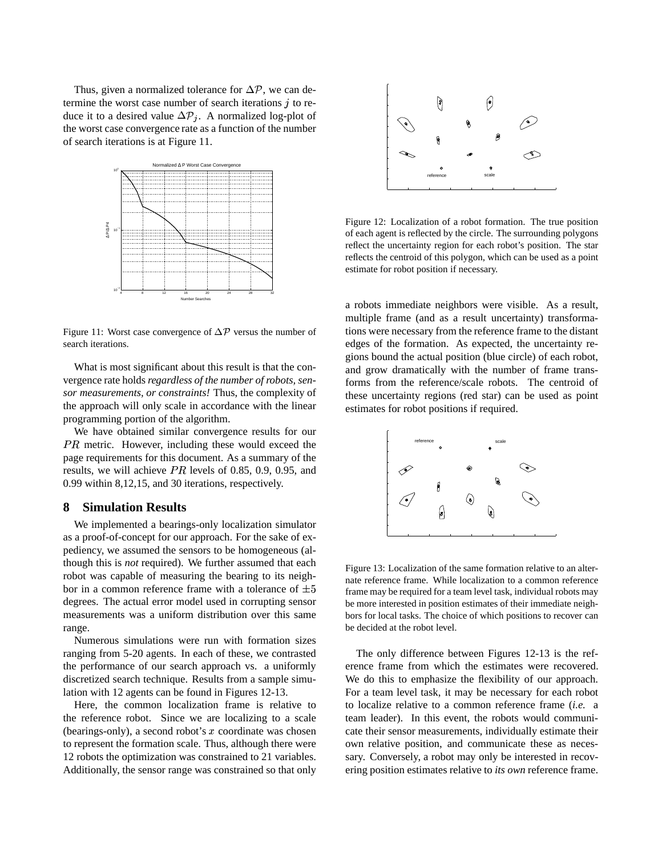Thus, given a normalized tolerance for  $\Delta \mathcal{P}$ , we can determine the worst case number of search iterations  $j$  to retermine the worst case number of search iterations j to re-<br>duce it to a desired value  $\Delta P_i$ . A normalized log-plot of the worst case convergence rate as a function of the number of search iterations is at Figure 11.



Figure 11: Worst case convergence of  $\Delta P$  versus the number of search iterations.

What is most significant about this result is that the convergence rate holds *regardless of the number of robots, sensor measurements, or constraints!* Thus, the complexity of the approach will only scale in accordance with the linear programming portion of the algorithm.

We have obtained similar convergence results for our  $PR$  metric. However, including these would exceed the page requirements for this document. As a summary of the results, we will achieve  $PR$  levels of 0.85, 0.9, 0.95, and 0.99 within 8,12,15, and 30 iterations, respectively.

# **8 Simulation Results**

We implemented a bearings-only localization simulator as a proof-of-concept for our approach. For the sake of expediency, we assumed the sensors to be homogeneous (although this is *not* required). We further assumed that each robot was capable of measuring the bearing to its neighbor in a common reference frame with a tolerance of  $\pm 5$ degrees. The actual error model used in corrupting sensor measurements was a uniform distribution over this same range.

Numerous simulations were run with formation sizes ranging from 5-20 agents. In each of these, we contrasted the performance of our search approach vs. a uniformly discretized search technique. Results from a sample simulation with 12 agents can be found in Figures 12-13.

Here, the common localization frame is relative to the reference robot. Since we are localizing to a scale (bearings-only), a second robot's  $x$  coordinate was chosen to represent the formation scale. Thus, although there were 12 robots the optimization was constrained to 21 variables. Additionally, the sensor range was constrained so that only



Figure 12: Localization of a robot formation. The true position of each agent is reflected by the circle. The surrounding polygons reflect the uncertainty region for each robot's position. The star reflects the centroid of this polygon, which can be used as a point estimate for robot position if necessary.

a robots immediate neighbors were visible. As a result, multiple frame (and as a result uncertainty) transformations were necessary from the reference frame to the distant edges of the formation. As expected, the uncertainty regions bound the actual position (blue circle) of each robot, and grow dramatically with the number of frame transforms from the reference/scale robots. The centroid of these uncertainty regions (red star) can be used as point estimates for robot positions if required.



Figure 13: Localization of the same formation relative to an alternate reference frame. While localization to a common reference frame may be required for a team level task, individual robots may be more interested in position estimates of their immediate neighbors for local tasks. The choice of which positions to recover can be decided at the robot level.

The only difference between Figures 12-13 is the reference frame from which the estimates were recovered. We do this to emphasize the flexibility of our approach. For a team level task, it may be necessary for each robot to localize relative to a common reference frame (*i.e.* a team leader). In this event, the robots would communicate their sensor measurements, individually estimate their own relative position, and communicate these as necessary. Conversely, a robot may only be interested in recovering position estimates relative to *its own* reference frame.